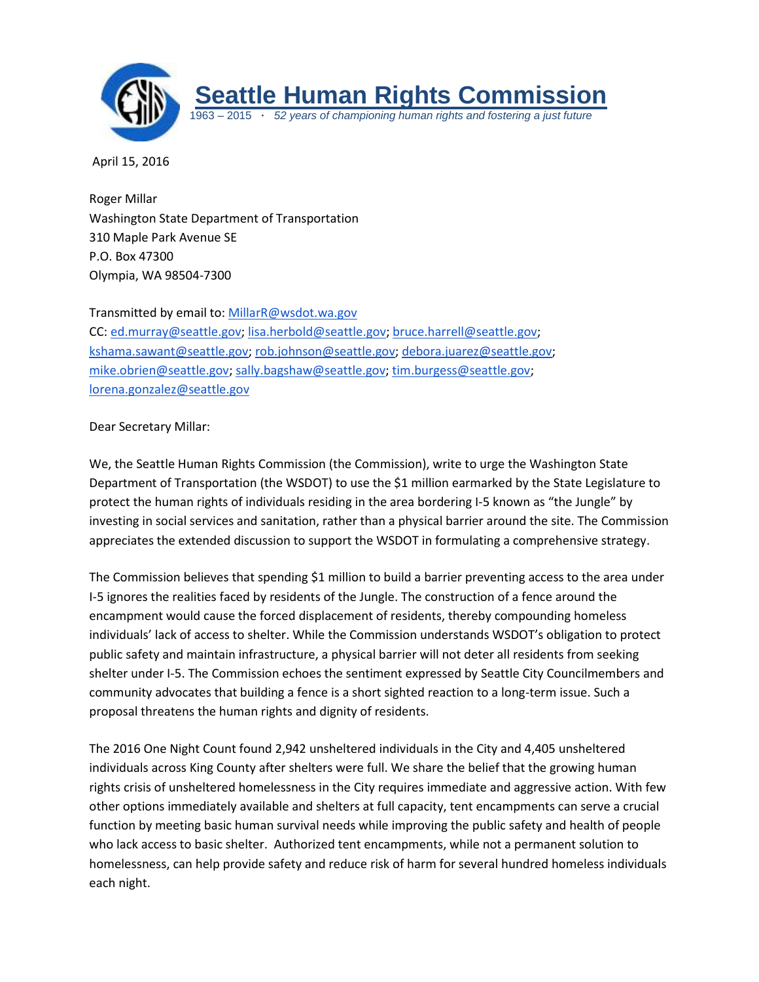

April 15, 2016

Roger Millar Washington State Department of Transportation 310 Maple Park Avenue SE P.O. Box 47300 Olympia, WA 98504-7300

Transmitted by email to: [MillarR@wsdot.wa.gov](mailto:MillarR@wsdot.wa.gov)

CC: [ed.murray@seattle.gov;](mailto:ed.murray@seattle.gov) [lisa.herbold@seattle.gov;](mailto:lisa.herbold@seattle.gov) [bruce.harrell@seattle.gov;](mailto:bruce.harrell@seattle.gov) [kshama.sawant@seattle.gov;](mailto:kshama.sawant@seattle.gov) [rob.johnson@seattle.gov;](mailto:rob.johnson@seattle.gov) [debora.juarez@seattle.gov;](mailto:debora.juarez@seattle.gov) [mike.obrien@seattle.gov;](mailto:mike.obrien@seattle.gov) [sally.bagshaw@seattle.gov;](mailto:sally.bagshaw@seattle.gov) [tim.burgess@seattle.gov;](mailto:tim.burgess@seattle.gov) [lorena.gonzalez@seattle.gov](mailto:lorena.gonzalez@seattle.gov)

## Dear Secretary Millar:

We, the Seattle Human Rights Commission (the Commission), write to urge the Washington State Department of Transportation (the WSDOT) to use the \$1 million earmarked by the State Legislature to protect the human rights of individuals residing in the area bordering I-5 known as "the Jungle" by investing in social services and sanitation, rather than a physical barrier around the site. The Commission appreciates the extended discussion to support the WSDOT in formulating a comprehensive strategy.

The Commission believes that spending \$1 million to build a barrier preventing access to the area under I-5 ignores the realities faced by residents of the Jungle. The construction of a fence around the encampment would cause the forced displacement of residents, thereby compounding homeless individuals' lack of access to shelter. While the Commission understands WSDOT's obligation to protect public safety and maintain infrastructure, a physical barrier will not deter all residents from seeking shelter under I-5. The Commission echoes the sentiment expressed by Seattle City Councilmembers and community advocates that building a fence is a short sighted reaction to a long-term issue. Such a proposal threatens the human rights and dignity of residents.

The 2016 One Night Count found 2,942 unsheltered individuals in the City and 4,405 unsheltered individuals across King County after shelters were full. We share the belief that the growing human rights crisis of unsheltered homelessness in the City requires immediate and aggressive action. With few other options immediately available and shelters at full capacity, tent encampments can serve a crucial function by meeting basic human survival needs while improving the public safety and health of people who lack access to basic shelter. Authorized tent encampments, while not a permanent solution to homelessness, can help provide safety and reduce risk of harm for several hundred homeless individuals each night.